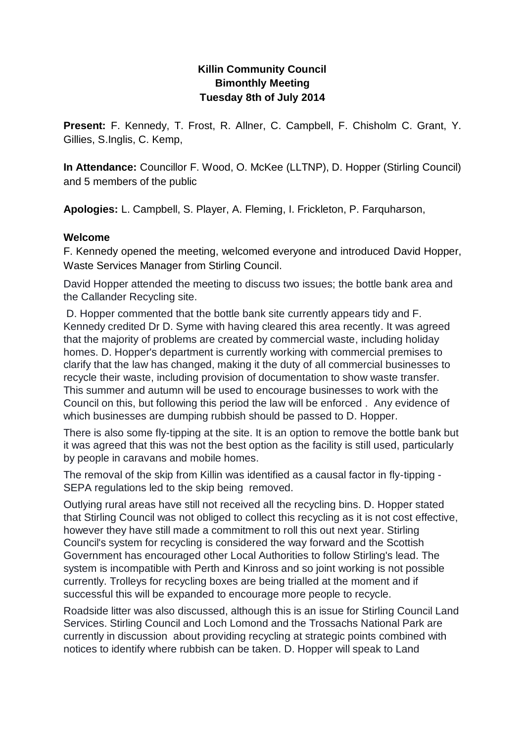# **Killin Community Council Bimonthly Meeting Tuesday 8th of July 2014**

**Present:** F. Kennedy, T. Frost, R. Allner, C. Campbell, F. Chisholm C. Grant, Y. Gillies, S.Inglis, C. Kemp,

**In Attendance:** Councillor F. Wood, O. McKee (LLTNP), D. Hopper (Stirling Council) and 5 members of the public

**Apologies:** L. Campbell, S. Player, A. Fleming, I. Frickleton, P. Farquharson,

#### **Welcome**

F. Kennedy opened the meeting, welcomed everyone and introduced David Hopper, Waste Services Manager from Stirling Council.

David Hopper attended the meeting to discuss two issues; the bottle bank area and the Callander Recycling site.

D. Hopper commented that the bottle bank site currently appears tidy and F. Kennedy credited Dr D. Syme with having cleared this area recently. It was agreed that the majority of problems are created by commercial waste, including holiday homes. D. Hopper's department is currently working with commercial premises to clarify that the law has changed, making it the duty of all commercial businesses to recycle their waste, including provision of documentation to show waste transfer. This summer and autumn will be used to encourage businesses to work with the Council on this, but following this period the law will be enforced . Any evidence of which businesses are dumping rubbish should be passed to D. Hopper.

There is also some fly-tipping at the site. It is an option to remove the bottle bank but it was agreed that this was not the best option as the facility is still used, particularly by people in caravans and mobile homes.

The removal of the skip from Killin was identified as a causal factor in fly-tipping - SEPA regulations led to the skip being removed.

Outlying rural areas have still not received all the recycling bins. D. Hopper stated that Stirling Council was not obliged to collect this recycling as it is not cost effective, however they have still made a commitment to roll this out next year. Stirling Council's system for recycling is considered the way forward and the Scottish Government has encouraged other Local Authorities to follow Stirling's lead. The system is incompatible with Perth and Kinross and so joint working is not possible currently. Trolleys for recycling boxes are being trialled at the moment and if successful this will be expanded to encourage more people to recycle.

Roadside litter was also discussed, although this is an issue for Stirling Council Land Services. Stirling Council and Loch Lomond and the Trossachs National Park are currently in discussion about providing recycling at strategic points combined with notices to identify where rubbish can be taken. D. Hopper will speak to Land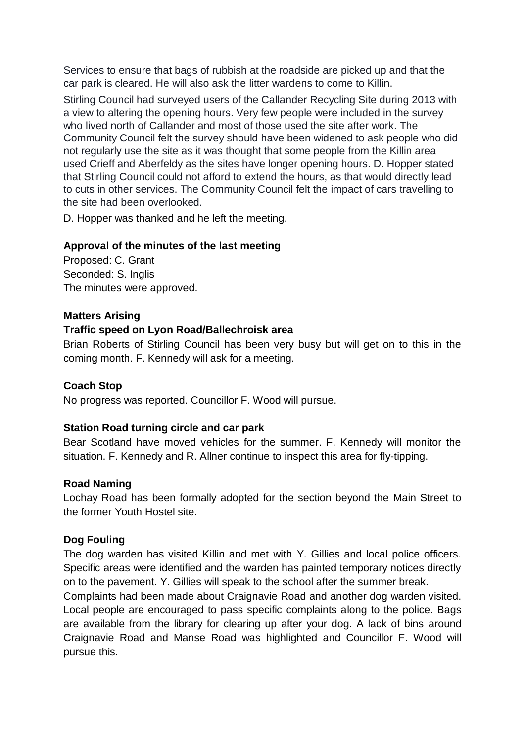Services to ensure that bags of rubbish at the roadside are picked up and that the car park is cleared. He will also ask the litter wardens to come to Killin.

Stirling Council had surveyed users of the Callander Recycling Site during 2013 with a view to altering the opening hours. Very few people were included in the survey who lived north of Callander and most of those used the site after work. The Community Council felt the survey should have been widened to ask people who did not regularly use the site as it was thought that some people from the Killin area used Crieff and Aberfeldy as the sites have longer opening hours. D. Hopper stated that Stirling Council could not afford to extend the hours, as that would directly lead to cuts in other services. The Community Council felt the impact of cars travelling to the site had been overlooked.

D. Hopper was thanked and he left the meeting.

## **Approval of the minutes of the last meeting**

Proposed: C. Grant Seconded: S. Inglis The minutes were approved.

#### **Matters Arising**

#### **Traffic speed on Lyon Road/Ballechroisk area**

Brian Roberts of Stirling Council has been very busy but will get on to this in the coming month. F. Kennedy will ask for a meeting.

## **Coach Stop**

No progress was reported. Councillor F. Wood will pursue.

#### **Station Road turning circle and car park**

Bear Scotland have moved vehicles for the summer. F. Kennedy will monitor the situation. F. Kennedy and R. Allner continue to inspect this area for fly-tipping.

#### **Road Naming**

Lochay Road has been formally adopted for the section beyond the Main Street to the former Youth Hostel site.

## **Dog Fouling**

The dog warden has visited Killin and met with Y. Gillies and local police officers. Specific areas were identified and the warden has painted temporary notices directly on to the pavement. Y. Gillies will speak to the school after the summer break.

Complaints had been made about Craignavie Road and another dog warden visited. Local people are encouraged to pass specific complaints along to the police. Bags are available from the library for clearing up after your dog. A lack of bins around Craignavie Road and Manse Road was highlighted and Councillor F. Wood will pursue this.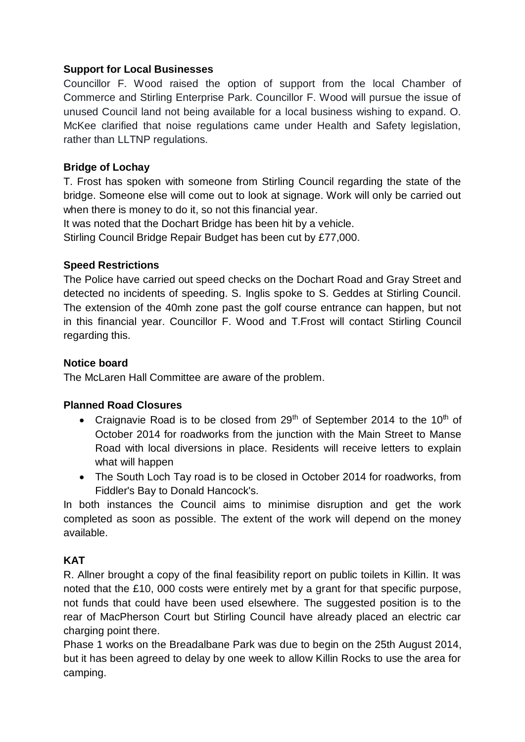## **Support for Local Businesses**

Councillor F. Wood raised the option of support from the local Chamber of Commerce and Stirling Enterprise Park. Councillor F. Wood will pursue the issue of unused Council land not being available for a local business wishing to expand. O. McKee clarified that noise regulations came under Health and Safety legislation, rather than LLTNP regulations.

# **Bridge of Lochay**

T. Frost has spoken with someone from Stirling Council regarding the state of the bridge. Someone else will come out to look at signage. Work will only be carried out when there is money to do it, so not this financial year.

It was noted that the Dochart Bridge has been hit by a vehicle.

Stirling Council Bridge Repair Budget has been cut by £77,000.

## **Speed Restrictions**

The Police have carried out speed checks on the Dochart Road and Gray Street and detected no incidents of speeding. S. Inglis spoke to S. Geddes at Stirling Council. The extension of the 40mh zone past the golf course entrance can happen, but not in this financial year. Councillor F. Wood and T.Frost will contact Stirling Council regarding this.

# **Notice board**

The McLaren Hall Committee are aware of the problem.

## **Planned Road Closures**

- Craignavie Road is to be closed from 29<sup>th</sup> of September 2014 to the 10<sup>th</sup> of October 2014 for roadworks from the junction with the Main Street to Manse Road with local diversions in place. Residents will receive letters to explain what will happen
- The South Loch Tay road is to be closed in October 2014 for roadworks, from Fiddler's Bay to Donald Hancock's.

In both instances the Council aims to minimise disruption and get the work completed as soon as possible. The extent of the work will depend on the money available.

# **KAT**

R. Allner brought a copy of the final feasibility report on public toilets in Killin. It was noted that the £10, 000 costs were entirely met by a grant for that specific purpose, not funds that could have been used elsewhere. The suggested position is to the rear of MacPherson Court but Stirling Council have already placed an electric car charging point there.

Phase 1 works on the Breadalbane Park was due to begin on the 25th August 2014, but it has been agreed to delay by one week to allow Killin Rocks to use the area for camping.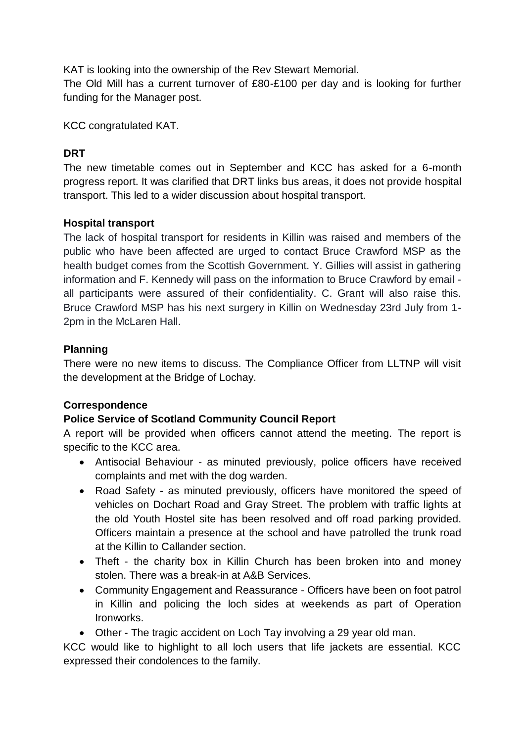KAT is looking into the ownership of the Rev Stewart Memorial.

The Old Mill has a current turnover of £80-£100 per day and is looking for further funding for the Manager post.

KCC congratulated KAT.

# **DRT**

The new timetable comes out in September and KCC has asked for a 6-month progress report. It was clarified that DRT links bus areas, it does not provide hospital transport. This led to a wider discussion about hospital transport.

## **Hospital transport**

The lack of hospital transport for residents in Killin was raised and members of the public who have been affected are urged to contact Bruce Crawford MSP as the health budget comes from the Scottish Government. Y. Gillies will assist in gathering information and F. Kennedy will pass on the information to Bruce Crawford by email all participants were assured of their confidentiality. C. Grant will also raise this. Bruce Crawford MSP has his next surgery in Killin on Wednesday 23rd July from 1- 2pm in the McLaren Hall.

## **Planning**

There were no new items to discuss. The Compliance Officer from LLTNP will visit the development at the Bridge of Lochay.

## **Correspondence**

## **Police Service of Scotland Community Council Report**

A report will be provided when officers cannot attend the meeting. The report is specific to the KCC area.

- Antisocial Behaviour as minuted previously, police officers have received complaints and met with the dog warden.
- Road Safety as minuted previously, officers have monitored the speed of vehicles on Dochart Road and Gray Street. The problem with traffic lights at the old Youth Hostel site has been resolved and off road parking provided. Officers maintain a presence at the school and have patrolled the trunk road at the Killin to Callander section.
- Theft the charity box in Killin Church has been broken into and money stolen. There was a break-in at A&B Services.
- Community Engagement and Reassurance Officers have been on foot patrol in Killin and policing the loch sides at weekends as part of Operation Ironworks.

Other - The tragic accident on Loch Tay involving a 29 year old man.

KCC would like to highlight to all loch users that life jackets are essential. KCC expressed their condolences to the family.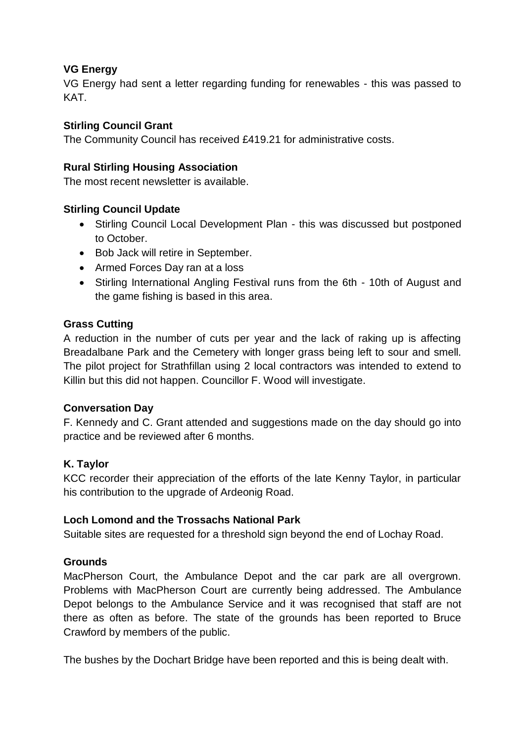## **VG Energy**

VG Energy had sent a letter regarding funding for renewables - this was passed to **KAT** 

## **Stirling Council Grant**

The Community Council has received £419.21 for administrative costs.

#### **Rural Stirling Housing Association**

The most recent newsletter is available.

## **Stirling Council Update**

- Stirling Council Local Development Plan this was discussed but postponed to October.
- Bob Jack will retire in September.
- Armed Forces Day ran at a loss
- Stirling International Angling Festival runs from the 6th 10th of August and the game fishing is based in this area.

#### **Grass Cutting**

A reduction in the number of cuts per year and the lack of raking up is affecting Breadalbane Park and the Cemetery with longer grass being left to sour and smell. The pilot project for Strathfillan using 2 local contractors was intended to extend to Killin but this did not happen. Councillor F. Wood will investigate.

## **Conversation Day**

F. Kennedy and C. Grant attended and suggestions made on the day should go into practice and be reviewed after 6 months.

## **K. Taylor**

KCC recorder their appreciation of the efforts of the late Kenny Taylor, in particular his contribution to the upgrade of Ardeonig Road.

#### **Loch Lomond and the Trossachs National Park**

Suitable sites are requested for a threshold sign beyond the end of Lochay Road.

## **Grounds**

MacPherson Court, the Ambulance Depot and the car park are all overgrown. Problems with MacPherson Court are currently being addressed. The Ambulance Depot belongs to the Ambulance Service and it was recognised that staff are not there as often as before. The state of the grounds has been reported to Bruce Crawford by members of the public.

The bushes by the Dochart Bridge have been reported and this is being dealt with.